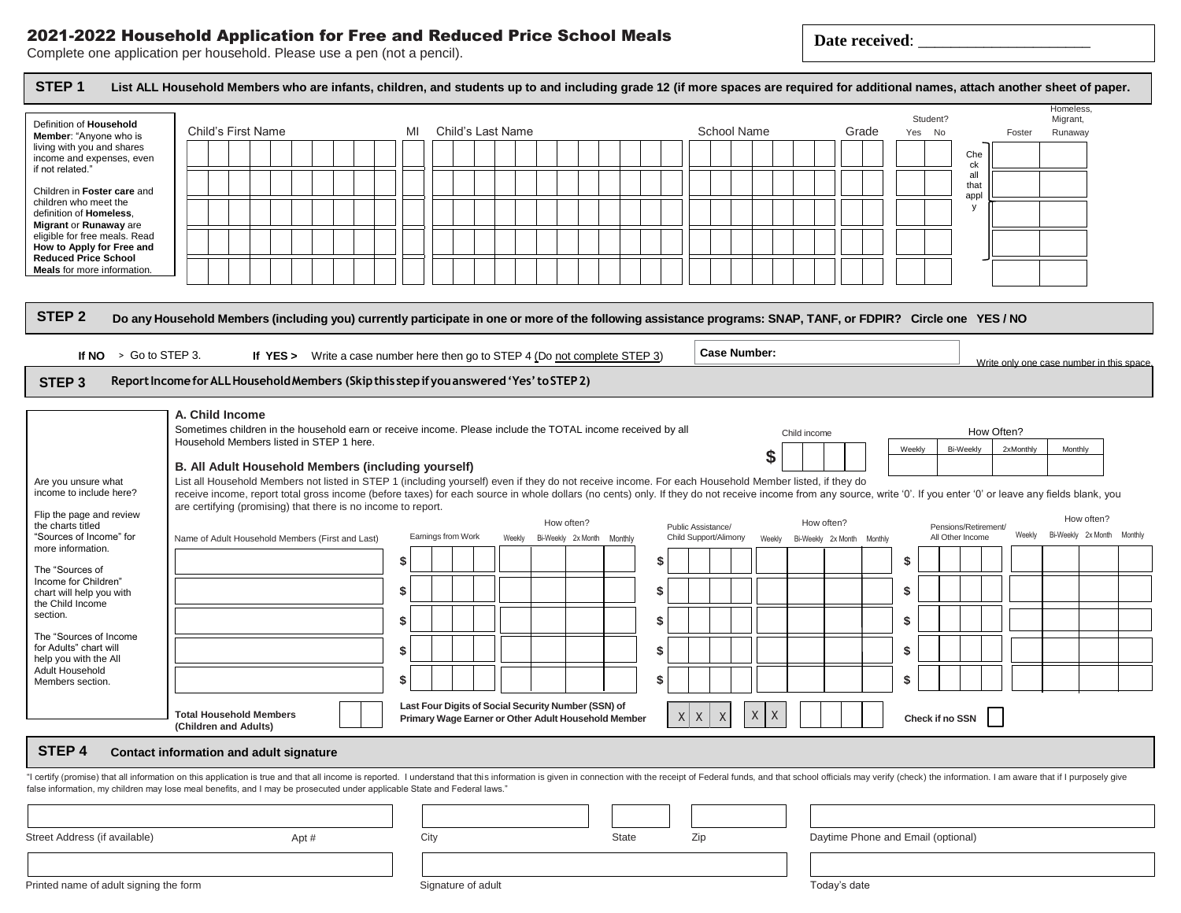## 2021-2022 Household Application for Free and Reduced Price School Meals Complete one application per household. Please use a pen (not a pencil).

 $\overline{\phantom{a}}$ 

| SIEP <sub>1</sub>                                        | List ALL Household Members who are infants, children, and students up to and including grade 12 (if more spaces are required for additional names, attach another sheet of paper.                                                                                                                                                                         |                                                       |                                                                     |                                                                                  |              |                                    |            | Homeless,                                 |
|----------------------------------------------------------|-----------------------------------------------------------------------------------------------------------------------------------------------------------------------------------------------------------------------------------------------------------------------------------------------------------------------------------------------------------|-------------------------------------------------------|---------------------------------------------------------------------|----------------------------------------------------------------------------------|--------------|------------------------------------|------------|-------------------------------------------|
| Definition of Household<br>Member: "Anyone who is        | Child's First Name                                                                                                                                                                                                                                                                                                                                        | Child's Last Name<br>MI                               |                                                                     | School Name                                                                      | Grade        | Student?<br>Yes No                 | Foster     | Migrant,<br>Runaway                       |
| living with you and shares                               |                                                                                                                                                                                                                                                                                                                                                           |                                                       |                                                                     |                                                                                  |              | Che                                |            |                                           |
| income and expenses, even<br>if not related."            |                                                                                                                                                                                                                                                                                                                                                           |                                                       |                                                                     |                                                                                  |              | ck                                 |            |                                           |
| Children in Foster care and                              |                                                                                                                                                                                                                                                                                                                                                           |                                                       |                                                                     |                                                                                  |              | all<br>that                        |            |                                           |
| children who meet the                                    |                                                                                                                                                                                                                                                                                                                                                           |                                                       |                                                                     |                                                                                  |              | appl<br>v                          |            |                                           |
| definition of Homeless.<br>Migrant or Runaway are        |                                                                                                                                                                                                                                                                                                                                                           |                                                       |                                                                     |                                                                                  |              |                                    |            |                                           |
| eligible for free meals. Read                            |                                                                                                                                                                                                                                                                                                                                                           |                                                       |                                                                     |                                                                                  |              |                                    |            |                                           |
| How to Apply for Free and<br><b>Reduced Price School</b> |                                                                                                                                                                                                                                                                                                                                                           |                                                       |                                                                     |                                                                                  |              |                                    |            |                                           |
| Meals for more information.                              |                                                                                                                                                                                                                                                                                                                                                           |                                                       |                                                                     |                                                                                  |              |                                    |            |                                           |
|                                                          |                                                                                                                                                                                                                                                                                                                                                           |                                                       |                                                                     |                                                                                  |              |                                    |            |                                           |
| STEP <sub>2</sub>                                        | Do any Household Members (including you) currently participate in one or more of the following assistance programs: SNAP, TANF, or FDPIR? Circle one YES/NO                                                                                                                                                                                               |                                                       |                                                                     |                                                                                  |              |                                    |            |                                           |
|                                                          |                                                                                                                                                                                                                                                                                                                                                           |                                                       |                                                                     |                                                                                  |              |                                    |            |                                           |
| If $NO \rightarrow Go$ to STEP 3.                        | If $YES >$                                                                                                                                                                                                                                                                                                                                                |                                                       | Write a case number here then go to STEP 4 (Do not complete STEP 3) | <b>Case Number:</b>                                                              |              |                                    |            | Write only one case number in this space. |
| STEP <sub>3</sub>                                        | Report Income for ALL Household Members (Skip this step if you answered 'Yes' to STEP 2)                                                                                                                                                                                                                                                                  |                                                       |                                                                     |                                                                                  |              |                                    |            |                                           |
|                                                          |                                                                                                                                                                                                                                                                                                                                                           |                                                       |                                                                     |                                                                                  |              |                                    |            |                                           |
|                                                          | A. Child Income<br>Sometimes children in the household earn or receive income. Please include the TOTAL income received by all                                                                                                                                                                                                                            |                                                       |                                                                     |                                                                                  |              |                                    |            |                                           |
|                                                          | Household Members listed in STEP 1 here.                                                                                                                                                                                                                                                                                                                  |                                                       |                                                                     |                                                                                  | Child income |                                    | How Often? |                                           |
|                                                          |                                                                                                                                                                                                                                                                                                                                                           |                                                       |                                                                     | S                                                                                |              | Weekly<br>Bi-Weekly                | 2xMonthly  | Monthly                                   |
| Are you unsure what                                      | B. All Adult Household Members (including yourself)<br>List all Household Members not listed in STEP 1 (including yourself) even if they do not receive income. For each Household Member listed, if they do                                                                                                                                              |                                                       |                                                                     |                                                                                  |              |                                    |            |                                           |
| income to include here?                                  | receive income, report total gross income (before taxes) for each source in whole dollars (no cents) only. If they do not receive income from any source, write '0'. If you enter '0' or leave any fields blank, you                                                                                                                                      |                                                       |                                                                     |                                                                                  |              |                                    |            |                                           |
| Flip the page and review                                 | are certifying (promising) that there is no income to report.                                                                                                                                                                                                                                                                                             |                                                       | How often?                                                          |                                                                                  | How often?   |                                    |            | How often?                                |
| the charts titled<br>"Sources of Income" for             | Name of Adult Household Members (First and Last)                                                                                                                                                                                                                                                                                                          | Public Assistance/<br>Child Support/Alimony<br>Weekly | Bi-Weekly 2x Month Monthly                                          | Pensions/Retirement/<br>Bi-Weekly 2x Month Monthly<br>Weekly<br>All Other Income |              |                                    |            |                                           |
| more information.                                        |                                                                                                                                                                                                                                                                                                                                                           | \$                                                    | Bi-Weekly 2x Month<br>Monthly                                       | \$                                                                               |              | \$                                 |            |                                           |
| The "Sources of                                          |                                                                                                                                                                                                                                                                                                                                                           |                                                       |                                                                     |                                                                                  |              |                                    |            |                                           |
| Income for Children"<br>chart will help you with         |                                                                                                                                                                                                                                                                                                                                                           | \$                                                    |                                                                     | \$                                                                               |              | \$                                 |            |                                           |
| the Child Income<br>section.                             |                                                                                                                                                                                                                                                                                                                                                           |                                                       |                                                                     |                                                                                  |              |                                    |            |                                           |
|                                                          |                                                                                                                                                                                                                                                                                                                                                           | \$                                                    |                                                                     | \$                                                                               |              | \$                                 |            |                                           |
| The "Sources of Income<br>for Adults" chart will         |                                                                                                                                                                                                                                                                                                                                                           | \$                                                    |                                                                     | \$                                                                               |              | S                                  |            |                                           |
| help you with the All<br>Adult Household                 |                                                                                                                                                                                                                                                                                                                                                           |                                                       |                                                                     |                                                                                  |              |                                    |            |                                           |
| Members section.                                         |                                                                                                                                                                                                                                                                                                                                                           | \$                                                    |                                                                     | \$                                                                               |              | \$                                 |            |                                           |
|                                                          |                                                                                                                                                                                                                                                                                                                                                           |                                                       | Last Four Digits of Social Security Number (SSN) of                 |                                                                                  |              |                                    |            |                                           |
|                                                          | <b>Total Household Members</b><br>(Children and Adults)                                                                                                                                                                                                                                                                                                   |                                                       | Primary Wage Earner or Other Adult Household Member                 | $\sf X$<br>X<br>$X \mid X$<br>X                                                  |              | Check if no SSN                    |            |                                           |
| STEP 4                                                   | <b>Contact information and adult signature</b>                                                                                                                                                                                                                                                                                                            |                                                       |                                                                     |                                                                                  |              |                                    |            |                                           |
|                                                          |                                                                                                                                                                                                                                                                                                                                                           |                                                       |                                                                     |                                                                                  |              |                                    |            |                                           |
|                                                          | "I certify (promise) that all information on this application is true and that all income is reported. I understand that this information is given in connection with the receipt of Federal funds, and that school officials<br>false information, my children may lose meal benefits, and I may be prosecuted under applicable State and Federal laws." |                                                       |                                                                     |                                                                                  |              |                                    |            |                                           |
|                                                          |                                                                                                                                                                                                                                                                                                                                                           |                                                       |                                                                     |                                                                                  |              |                                    |            |                                           |
|                                                          |                                                                                                                                                                                                                                                                                                                                                           |                                                       |                                                                     |                                                                                  |              |                                    |            |                                           |
| Street Address (if available)                            | Apt #                                                                                                                                                                                                                                                                                                                                                     | City                                                  | State                                                               | Zip                                                                              |              | Daytime Phone and Email (optional) |            |                                           |
|                                                          |                                                                                                                                                                                                                                                                                                                                                           |                                                       |                                                                     |                                                                                  |              |                                    |            |                                           |
|                                                          |                                                                                                                                                                                                                                                                                                                                                           |                                                       |                                                                     |                                                                                  |              |                                    |            |                                           |

Printed name of adult signing the form

Signature of adult

Today's date